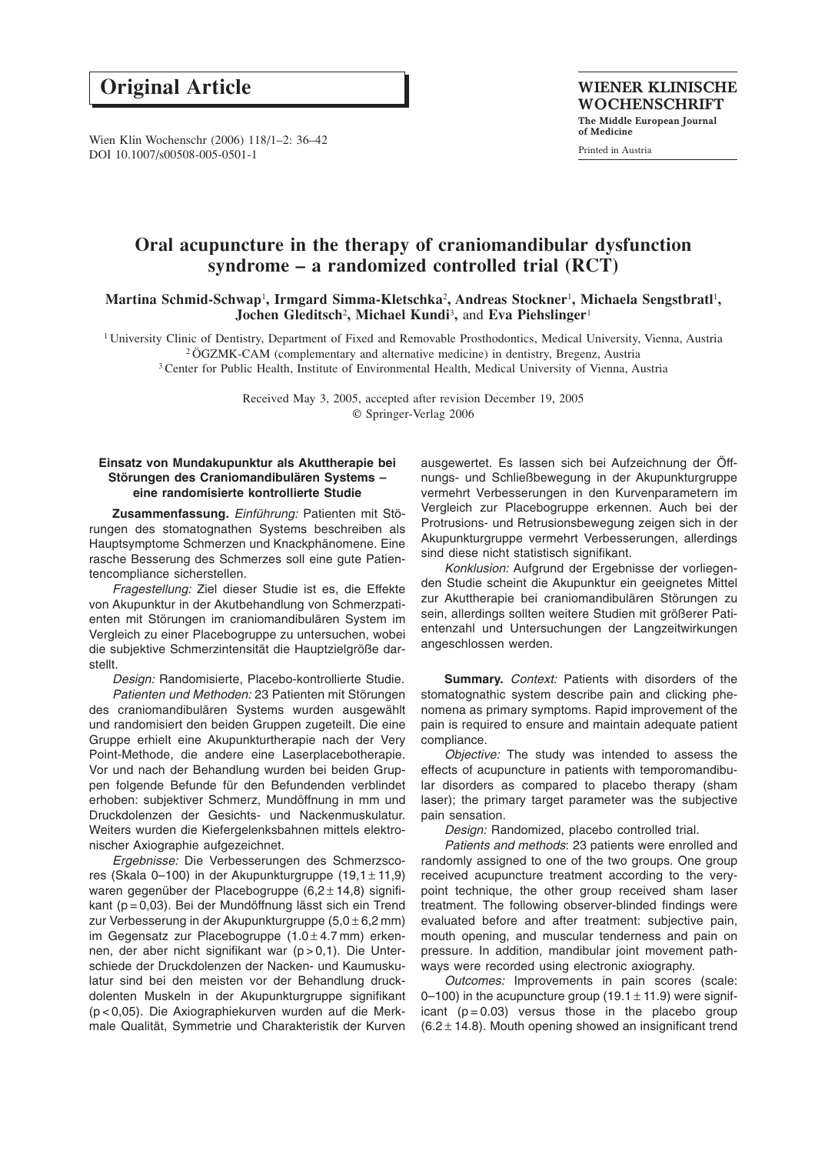# 36 Schmid-Schwap et al., Oral acupuncture in the therapy of craniomandibular dysfunction syndrome **Original Article**

Wien Klin Wochenschr (2006) 118/1–2: 36–42 DOI 10.1007/s00508-005-0501-1

Printed in Austria

# **Oral acupuncture in the therapy of craniomandibular dysfunction syndrome – a randomized controlled trial (RCT)**

**Martina Schmid-Schwap**<sup>1</sup> **, Irmgard Simma-Kletschka**<sup>2</sup> **, Andreas Stockner**1**, Michaela Sengstbratl**1**, Jochen Gleditsch**<sup>2</sup> **, Michael Kundi**3**,** and **Eva Piehslinger**<sup>1</sup>

<sup>1</sup> University Clinic of Dentistry, Department of Fixed and Removable Prosthodontics, Medical University, Vienna, Austria <sup>2</sup> ÖGZMK-CAM (complementary and alternative medicine) in dentistry, Bregenz, Austria

<sup>3</sup> Center for Public Health, Institute of Environmental Health, Medical University of Vienna, Austria

Received May 3, 2005, accepted after revision December 19, 2005 © Springer-Verlag 2006

# **Einsatz von Mundakupunktur als Akuttherapie bei Störungen des Craniomandibulären Systems – eine randomisierte kontrollierte Studie**

**Zusammenfassung.** Einführung: Patienten mit Störungen des stomatognathen Systems beschreiben als Hauptsymptome Schmerzen und Knackphänomene. Eine rasche Besserung des Schmerzes soll eine gute Patientencompliance sicherstellen.

Fragestellung: Ziel dieser Studie ist es, die Effekte von Akupunktur in der Akutbehandlung von Schmerzpatienten mit Störungen im craniomandibulären System im Vergleich zu einer Placebogruppe zu untersuchen, wobei die subjektive Schmerzintensität die Hauptzielgröße darstellt.

Design: Randomisierte, Placebo-kontrollierte Studie.

Patienten und Methoden: 23 Patienten mit Störungen des craniomandibulären Systems wurden ausgewählt und randomisiert den beiden Gruppen zugeteilt. Die eine Gruppe erhielt eine Akupunkturtherapie nach der Very Point-Methode, die andere eine Laserplacebotherapie. Vor und nach der Behandlung wurden bei beiden Gruppen folgende Befunde für den Befundenden verblindet erhoben: subjektiver Schmerz, Mundöffnung in mm und Druckdolenzen der Gesichts- und Nackenmuskulatur. Weiters wurden die Kiefergelenksbahnen mittels elektronischer Axiographie aufgezeichnet.

Ergebnisse: Die Verbesserungen des Schmerzscores (Skala 0-100) in der Akupunkturgruppe  $(19,1 \pm 11,9)$ waren gegenüber der Placebogruppe  $(6,2 \pm 14,8)$  signifikant (p = 0,03). Bei der Mundöffnung lässt sich ein Trend zur Verbesserung in der Akupunkturgruppe ( $5.0 \pm 6.2$  mm) im Gegensatz zur Placebogruppe  $(1.0 \pm 4.7 \text{ mm})$  erkennen, der aber nicht signifikant war (p > 0,1). Die Unterschiede der Druckdolenzen der Nacken- und Kaumuskulatur sind bei den meisten vor der Behandlung druckdolenten Muskeln in der Akupunkturgruppe signifikant (p < 0,05). Die Axiographiekurven wurden auf die Merkmale Qualität, Symmetrie und Charakteristik der Kurven ausgewertet. Es lassen sich bei Aufzeichnung der Öffnungs- und Schließbewegung in der Akupunkturgruppe vermehrt Verbesserungen in den Kurvenparametern im Vergleich zur Placebogruppe erkennen. Auch bei der Protrusions- und Retrusionsbewegung zeigen sich in der Akupunkturgruppe vermehrt Verbesserungen, allerdings sind diese nicht statistisch signifikant.

Konklusion: Aufgrund der Ergebnisse der vorliegenden Studie scheint die Akupunktur ein geeignetes Mittel zur Akuttherapie bei craniomandibulären Störungen zu sein, allerdings sollten weitere Studien mit größerer Patientenzahl und Untersuchungen der Langzeitwirkungen angeschlossen werden.

Summary. Context: Patients with disorders of the stomatognathic system describe pain and clicking phenomena as primary symptoms. Rapid improvement of the pain is required to ensure and maintain adequate patient compliance.

Objective: The study was intended to assess the effects of acupuncture in patients with temporomandibular disorders as compared to placebo therapy (sham laser); the primary target parameter was the subjective pain sensation.

Design: Randomized, placebo controlled trial.

Patients and methods: 23 patients were enrolled and randomly assigned to one of the two groups. One group received acupuncture treatment according to the verypoint technique, the other group received sham laser treatment. The following observer-blinded findings were evaluated before and after treatment: subjective pain, mouth opening, and muscular tenderness and pain on pressure. In addition, mandibular joint movement pathways were recorded using electronic axiography.

Outcomes: Improvements in pain scores (scale: 0–100) in the acupuncture group (19.1  $\pm$  11.9) were significant  $(p = 0.03)$  versus those in the placebo group  $(6.2 \pm 14.8)$ . Mouth opening showed an insignificant trend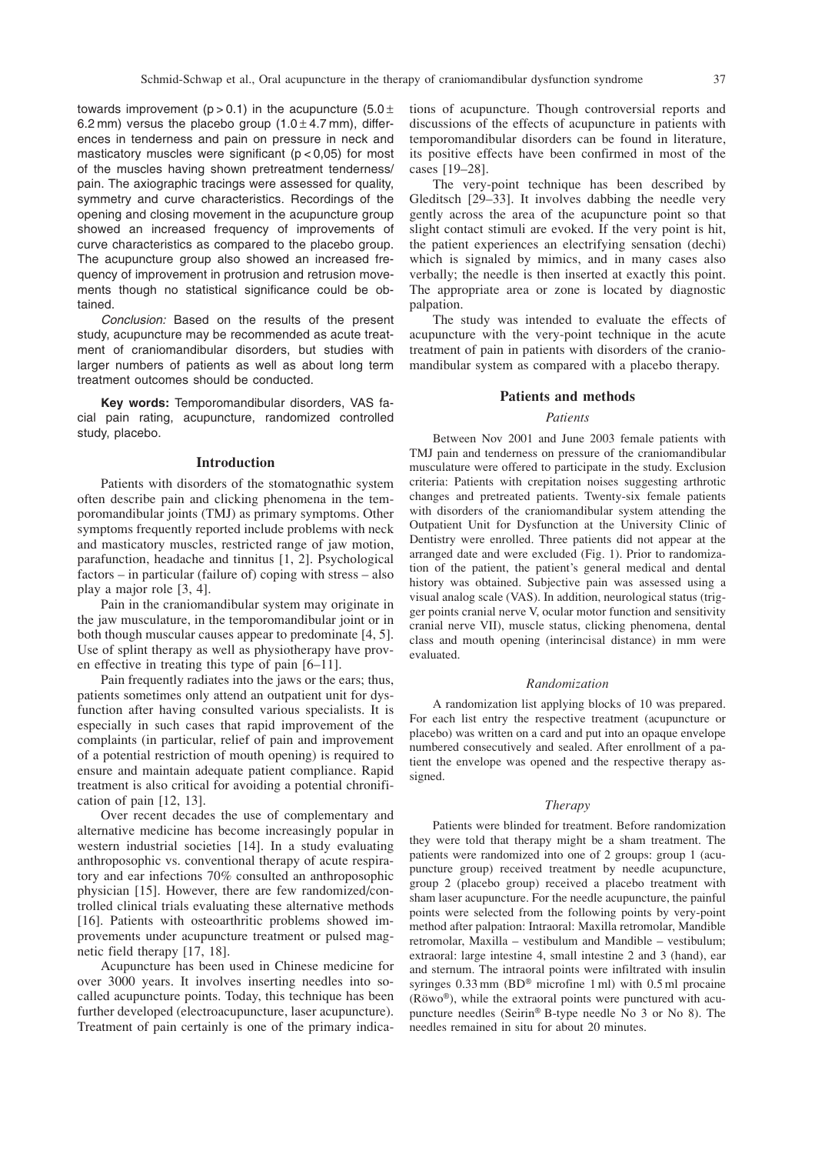towards improvement ( $p > 0.1$ ) in the acupuncture (5.0 ± 6.2 mm) versus the placebo group  $(1.0 \pm 4.7 \text{ mm})$ , differences in tenderness and pain on pressure in neck and masticatory muscles were significant ( $p < 0.05$ ) for most of the muscles having shown pretreatment tenderness/ pain. The axiographic tracings were assessed for quality, symmetry and curve characteristics. Recordings of the opening and closing movement in the acupuncture group showed an increased frequency of improvements of curve characteristics as compared to the placebo group. The acupuncture group also showed an increased frequency of improvement in protrusion and retrusion movements though no statistical significance could be obtained.

Conclusion: Based on the results of the present study, acupuncture may be recommended as acute treatment of craniomandibular disorders, but studies with larger numbers of patients as well as about long term treatment outcomes should be conducted.

**Key words:** Temporomandibular disorders, VAS facial pain rating, acupuncture, randomized controlled study, placebo.

# **Introduction**

Patients with disorders of the stomatognathic system often describe pain and clicking phenomena in the temporomandibular joints (TMJ) as primary symptoms. Other symptoms frequently reported include problems with neck and masticatory muscles, restricted range of jaw motion, parafunction, headache and tinnitus [1, 2]. Psychological factors – in particular (failure of) coping with stress – also play a major role [3, 4].

Pain in the craniomandibular system may originate in the jaw musculature, in the temporomandibular joint or in both though muscular causes appear to predominate [4, 5]. Use of splint therapy as well as physiotherapy have proven effective in treating this type of pain [6–11].

Pain frequently radiates into the jaws or the ears; thus, patients sometimes only attend an outpatient unit for dysfunction after having consulted various specialists. It is especially in such cases that rapid improvement of the complaints (in particular, relief of pain and improvement of a potential restriction of mouth opening) is required to ensure and maintain adequate patient compliance. Rapid treatment is also critical for avoiding a potential chronification of pain [12, 13].

Over recent decades the use of complementary and alternative medicine has become increasingly popular in western industrial societies [14]. In a study evaluating anthroposophic vs. conventional therapy of acute respiratory and ear infections 70% consulted an anthroposophic physician [15]. However, there are few randomized/controlled clinical trials evaluating these alternative methods [16]. Patients with osteoarthritic problems showed improvements under acupuncture treatment or pulsed magnetic field therapy [17, 18].

Acupuncture has been used in Chinese medicine for over 3000 years. It involves inserting needles into socalled acupuncture points. Today, this technique has been further developed (electroacupuncture, laser acupuncture). Treatment of pain certainly is one of the primary indications of acupuncture. Though controversial reports and discussions of the effects of acupuncture in patients with temporomandibular disorders can be found in literature, its positive effects have been confirmed in most of the cases [19–28].

The very-point technique has been described by Gleditsch [29–33]. It involves dabbing the needle very gently across the area of the acupuncture point so that slight contact stimuli are evoked. If the very point is hit, the patient experiences an electrifying sensation (dechi) which is signaled by mimics, and in many cases also verbally; the needle is then inserted at exactly this point. The appropriate area or zone is located by diagnostic palpation.

The study was intended to evaluate the effects of acupuncture with the very-point technique in the acute treatment of pain in patients with disorders of the craniomandibular system as compared with a placebo therapy.

# **Patients and methods**

# *Patients*

Between Nov 2001 and June 2003 female patients with TMJ pain and tenderness on pressure of the craniomandibular musculature were offered to participate in the study. Exclusion criteria: Patients with crepitation noises suggesting arthrotic changes and pretreated patients. Twenty-six female patients with disorders of the craniomandibular system attending the Outpatient Unit for Dysfunction at the University Clinic of Dentistry were enrolled. Three patients did not appear at the arranged date and were excluded (Fig. 1). Prior to randomization of the patient, the patient's general medical and dental history was obtained. Subjective pain was assessed using a visual analog scale (VAS). In addition, neurological status (trigger points cranial nerve V, ocular motor function and sensitivity cranial nerve VII), muscle status, clicking phenomena, dental class and mouth opening (interincisal distance) in mm were evaluated.

# *Randomization*

A randomization list applying blocks of 10 was prepared. For each list entry the respective treatment (acupuncture or placebo) was written on a card and put into an opaque envelope numbered consecutively and sealed. After enrollment of a patient the envelope was opened and the respective therapy assigned.

# *Therapy*

Patients were blinded for treatment. Before randomization they were told that therapy might be a sham treatment. The patients were randomized into one of 2 groups: group 1 (acupuncture group) received treatment by needle acupuncture, group 2 (placebo group) received a placebo treatment with sham laser acupuncture. For the needle acupuncture, the painful points were selected from the following points by very-point method after palpation: Intraoral: Maxilla retromolar, Mandible retromolar, Maxilla – vestibulum and Mandible – vestibulum; extraoral: large intestine 4, small intestine 2 and 3 (hand), ear and sternum. The intraoral points were infiltrated with insulin syringes 0.33 mm (BD® microfine 1 ml) with 0.5 ml procaine (Röwo®), while the extraoral points were punctured with acupuncture needles (Seirin® B-type needle No 3 or No 8). The needles remained in situ for about 20 minutes.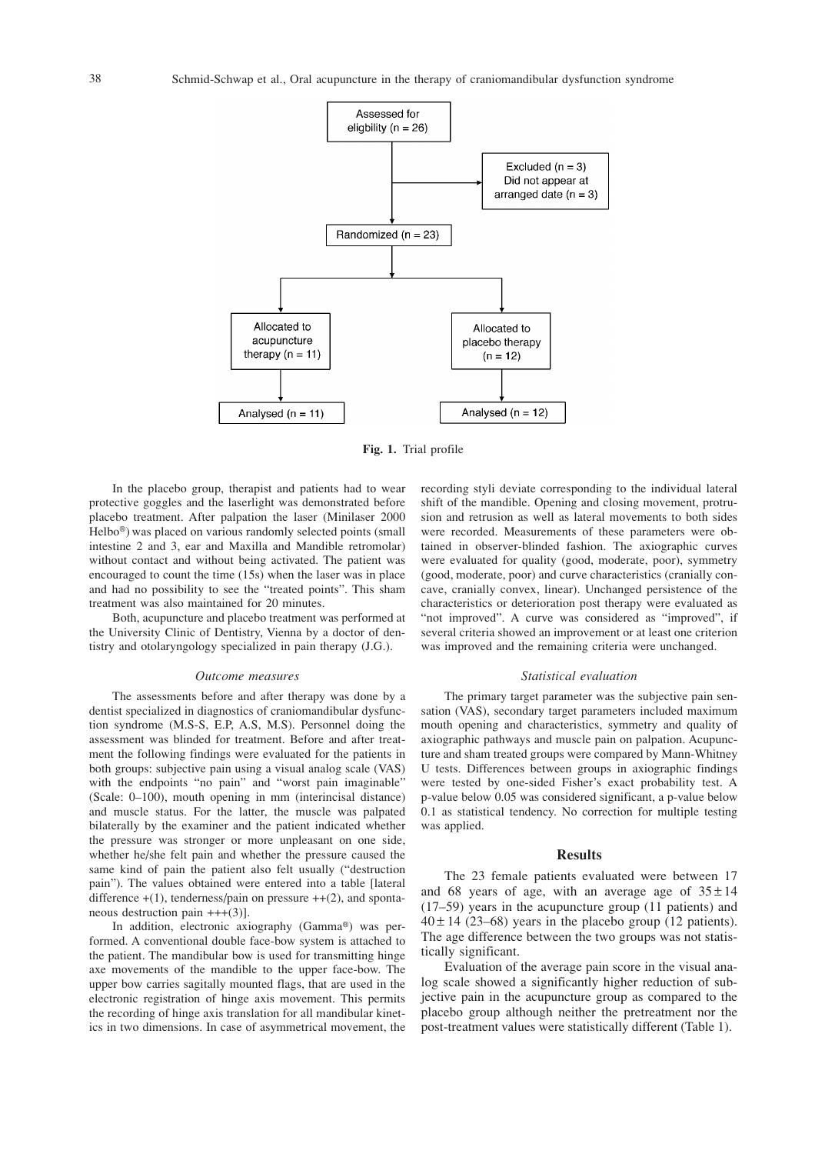

**Fig. 1.** Trial profile

In the placebo group, therapist and patients had to wear protective goggles and the laserlight was demonstrated before placebo treatment. After palpation the laser (Minilaser 2000 Helbo®) was placed on various randomly selected points (small intestine 2 and 3, ear and Maxilla and Mandible retromolar) without contact and without being activated. The patient was encouraged to count the time (15s) when the laser was in place and had no possibility to see the "treated points". This sham treatment was also maintained for 20 minutes.

Both, acupuncture and placebo treatment was performed at the University Clinic of Dentistry, Vienna by a doctor of dentistry and otolaryngology specialized in pain therapy (J.G.).

#### *Outcome measures*

The assessments before and after therapy was done by a dentist specialized in diagnostics of craniomandibular dysfunction syndrome (M.S-S, E.P, A.S, M.S). Personnel doing the assessment was blinded for treatment. Before and after treatment the following findings were evaluated for the patients in both groups: subjective pain using a visual analog scale (VAS) with the endpoints "no pain" and "worst pain imaginable" (Scale: 0–100), mouth opening in mm (interincisal distance) and muscle status. For the latter, the muscle was palpated bilaterally by the examiner and the patient indicated whether the pressure was stronger or more unpleasant on one side, whether he/she felt pain and whether the pressure caused the same kind of pain the patient also felt usually ("destruction pain"). The values obtained were entered into a table [lateral difference  $+(1)$ , tenderness/pain on pressure  $++(2)$ , and spontaneous destruction pain +++(3)].

In addition, electronic axiography (Gamma®) was performed. A conventional double face-bow system is attached to the patient. The mandibular bow is used for transmitting hinge axe movements of the mandible to the upper face-bow. The upper bow carries sagitally mounted flags, that are used in the electronic registration of hinge axis movement. This permits the recording of hinge axis translation for all mandibular kinetics in two dimensions. In case of asymmetrical movement, the recording styli deviate corresponding to the individual lateral shift of the mandible. Opening and closing movement, protrusion and retrusion as well as lateral movements to both sides were recorded. Measurements of these parameters were obtained in observer-blinded fashion. The axiographic curves were evaluated for quality (good, moderate, poor), symmetry (good, moderate, poor) and curve characteristics (cranially concave, cranially convex, linear). Unchanged persistence of the characteristics or deterioration post therapy were evaluated as "not improved". A curve was considered as "improved", if several criteria showed an improvement or at least one criterion was improved and the remaining criteria were unchanged.

# *Statistical evaluation*

The primary target parameter was the subjective pain sensation (VAS), secondary target parameters included maximum mouth opening and characteristics, symmetry and quality of axiographic pathways and muscle pain on palpation. Acupuncture and sham treated groups were compared by Mann-Whitney U tests. Differences between groups in axiographic findings were tested by one-sided Fisher's exact probability test. A p-value below 0.05 was considered significant, a p-value below 0.1 as statistical tendency. No correction for multiple testing was applied.

### **Results**

The 23 female patients evaluated were between 17 and 68 years of age, with an average age of  $35 \pm 14$ (17–59) years in the acupuncture group (11 patients) and  $40 \pm 14$  (23–68) years in the placebo group (12 patients). The age difference between the two groups was not statistically significant.

Evaluation of the average pain score in the visual analog scale showed a significantly higher reduction of subjective pain in the acupuncture group as compared to the placebo group although neither the pretreatment nor the post-treatment values were statistically different (Table 1).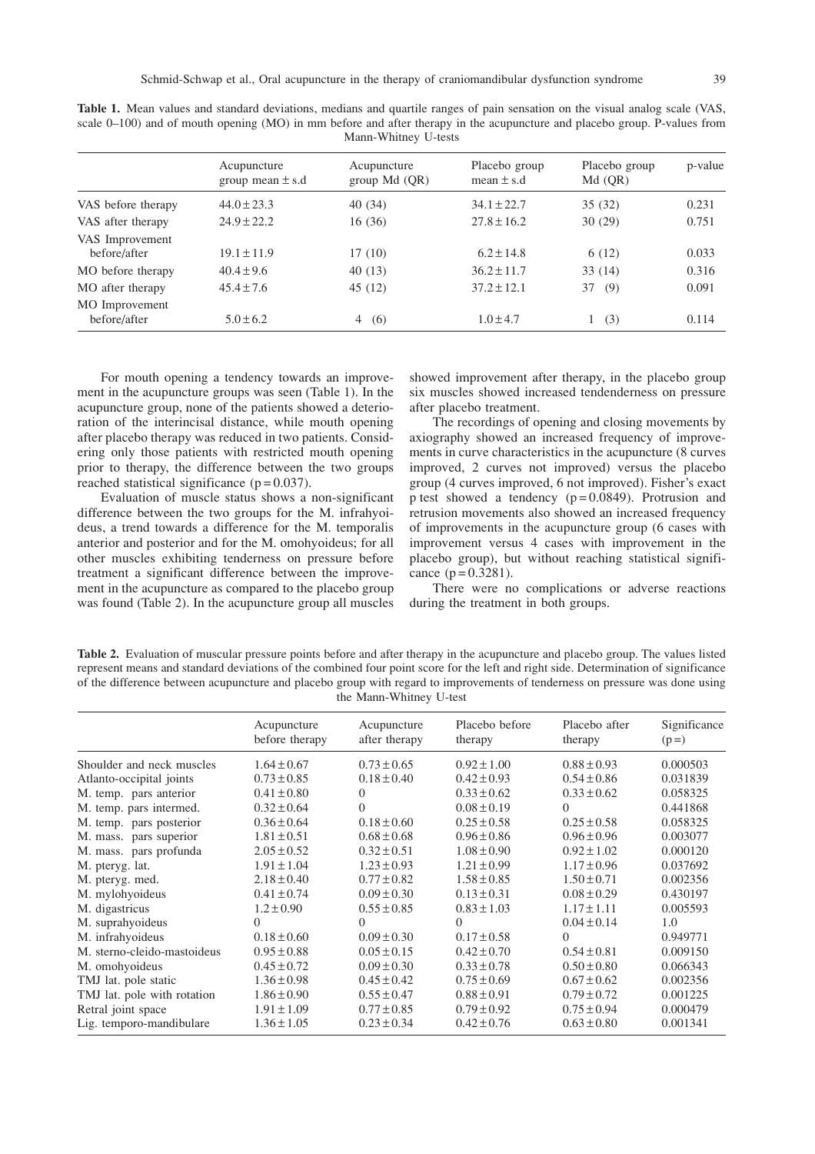|                                 | Acupuncture<br>group mean $\pm$ s.d | Acupuncture<br>group $Md$ $(QR)$ | Placebo group<br>mean $\pm$ s.d | Placebo group<br>$Md$ (QR) | p-value |  |  |
|---------------------------------|-------------------------------------|----------------------------------|---------------------------------|----------------------------|---------|--|--|
| VAS before therapy              | $44.0 \pm 23.3$                     | 40 (34)                          | $34.1 \pm 22.7$                 | 35 (32)                    | 0.231   |  |  |
| VAS after therapy               | $24.9 \pm 22.2$                     | 16(36)                           | $27.8 \pm 16.2$                 | 30(29)                     | 0.751   |  |  |
| VAS Improvement<br>before/after | $19.1 \pm 11.9$                     | 17(10)                           | $6.2 \pm 14.8$                  | 6 (12)                     | 0.033   |  |  |
| MO before therapy               | $40.4 \pm 9.6$                      | 40(13)                           | $36.2 \pm 11.7$                 | 33(14)                     | 0.316   |  |  |
| MO after therapy                | $45.4 \pm 7.6$                      | 45 (12)                          | $37.2 \pm 12.1$                 | (9)<br>37                  | 0.091   |  |  |
| MO Improvement<br>before/after  | $5.0 \pm 6.2$                       | $\overline{4}$<br>(6)            | $1.0 \pm 4.7$                   | (3)                        | 0.114   |  |  |

**Table 1.** Mean values and standard deviations, medians and quartile ranges of pain sensation on the visual analog scale (VAS, scale 0–100) and of mouth opening (MO) in mm before and after therapy in the acupuncture and placebo group. P-values from Mann-Whitney U-tests

For mouth opening a tendency towards an improvement in the acupuncture groups was seen (Table 1). In the acupuncture group, none of the patients showed a deterioration of the interincisal distance, while mouth opening after placebo therapy was reduced in two patients. Considering only those patients with restricted mouth opening prior to therapy, the difference between the two groups reached statistical significance  $(p = 0.037)$ .

Evaluation of muscle status shows a non-significant difference between the two groups for the M. infrahyoideus, a trend towards a difference for the M. temporalis anterior and posterior and for the M. omohyoideus; for all other muscles exhibiting tenderness on pressure before treatment a significant difference between the improvement in the acupuncture as compared to the placebo group was found (Table 2). In the acupuncture group all muscles showed improvement after therapy, in the placebo group six muscles showed increased tendenderness on pressure after placebo treatment.

The recordings of opening and closing movements by axiography showed an increased frequency of improvements in curve characteristics in the acupuncture (8 curves improved, 2 curves not improved) versus the placebo group (4 curves improved, 6 not improved). Fisher's exact p test showed a tendency  $(p=0.0849)$ . Protrusion and retrusion movements also showed an increased frequency of improvements in the acupuncture group (6 cases with improvement versus 4 cases with improvement in the placebo group), but without reaching statistical significance  $(p = 0.3281)$ .

There were no complications or adverse reactions during the treatment in both groups.

**Table 2.** Evaluation of muscular pressure points before and after therapy in the acupuncture and placebo group. The values listed represent means and standard deviations of the combined four point score for the left and right side. Determination of significance of the difference between acupuncture and placebo group with regard to improvements of tenderness on pressure was done using the Mann-Whitney U-test

|                             | Acupuncture<br>before therapy | Acupuncture<br>after therapy | Placebo before<br>therapy | Placebo after<br>therapy | Significance<br>$(p=)$ |
|-----------------------------|-------------------------------|------------------------------|---------------------------|--------------------------|------------------------|
| Shoulder and neck muscles   | $1.64 \pm 0.67$               | $0.73 \pm 0.65$              | $0.92 \pm 1.00$           | $0.88 \pm 0.93$          | 0.000503               |
| Atlanto-occipital joints    | $0.73 \pm 0.85$               | $0.18 \pm 0.40$              | $0.42 \pm 0.93$           | $0.54 \pm 0.86$          | 0.031839               |
| M. temp. pars anterior      | $0.41 \pm 0.80$               | $\theta$                     | $0.33 \pm 0.62$           | $0.33 \pm 0.62$          | 0.058325               |
| M. temp. pars intermed.     | $0.32 \pm 0.64$               | $\Omega$                     | $0.08 \pm 0.19$           | $\Omega$                 | 0.441868               |
| M. temp. pars posterior     | $0.36 \pm 0.64$               | $0.18 \pm 0.60$              | $0.25 \pm 0.58$           | $0.25 \pm 0.58$          | 0.058325               |
| M. mass. pars superior      | $1.81 \pm 0.51$               | $0.68 \pm 0.68$              | $0.96 \pm 0.86$           | $0.96 \pm 0.96$          | 0.003077               |
| M. mass. pars profunda      | $2.05 \pm 0.52$               | $0.32 \pm 0.51$              | $1.08 \pm 0.90$           | $0.92 \pm 1.02$          | 0.000120               |
| M. pteryg. lat.             | $1.91 \pm 1.04$               | $1.23 \pm 0.93$              | $1.21 \pm 0.99$           | $1.17 \pm 0.96$          | 0.037692               |
| M. pteryg. med.             | $2.18 \pm 0.40$               | $0.77 \pm 0.82$              | $1.58 \pm 0.85$           | $1.50 \pm 0.71$          | 0.002356               |
| M. mylohyoideus             | $0.41 \pm 0.74$               | $0.09 \pm 0.30$              | $0.13 \pm 0.31$           | $0.08 \pm 0.29$          | 0.430197               |
| M. digastricus              | $1.2 \pm 0.90$                | $0.55 \pm 0.85$              | $0.83 \pm 1.03$           | $1.17 \pm 1.11$          | 0.005593               |
| M. suprahyoideus            | 0                             | 0                            | $\theta$                  | $0.04 \pm 0.14$          | 1.0                    |
| M. infrahyoideus            | $0.18 \pm 0.60$               | $0.09 \pm 0.30$              | $0.17 \pm 0.58$           | $\Omega$                 | 0.949771               |
| M. sterno-cleido-mastoideus | $0.95 \pm 0.88$               | $0.05 \pm 0.15$              | $0.42 \pm 0.70$           | $0.54 \pm 0.81$          | 0.009150               |
| M. omohyoideus              | $0.45 \pm 0.72$               | $0.09 \pm 0.30$              | $0.33 \pm 0.78$           | $0.50 \pm 0.80$          | 0.066343               |
| TMJ lat. pole static        | $1.36 \pm 0.98$               | $0.45 \pm 0.42$              | $0.75 \pm 0.69$           | $0.67 \pm 0.62$          | 0.002356               |
| TMJ lat. pole with rotation | $1.86 \pm 0.90$               | $0.55 \pm 0.47$              | $0.88 \pm 0.91$           | $0.79 \pm 0.72$          | 0.001225               |
| Retral joint space          | $1.91 \pm 1.09$               | $0.77 \pm 0.85$              | $0.79 \pm 0.92$           | $0.75 \pm 0.94$          | 0.000479               |
| Lig. temporo-mandibulare    | $1.36 \pm 1.05$               | $0.23 \pm 0.34$              | $0.42 \pm 0.76$           | $0.63 \pm 0.80$          | 0.001341               |
|                             |                               |                              |                           |                          |                        |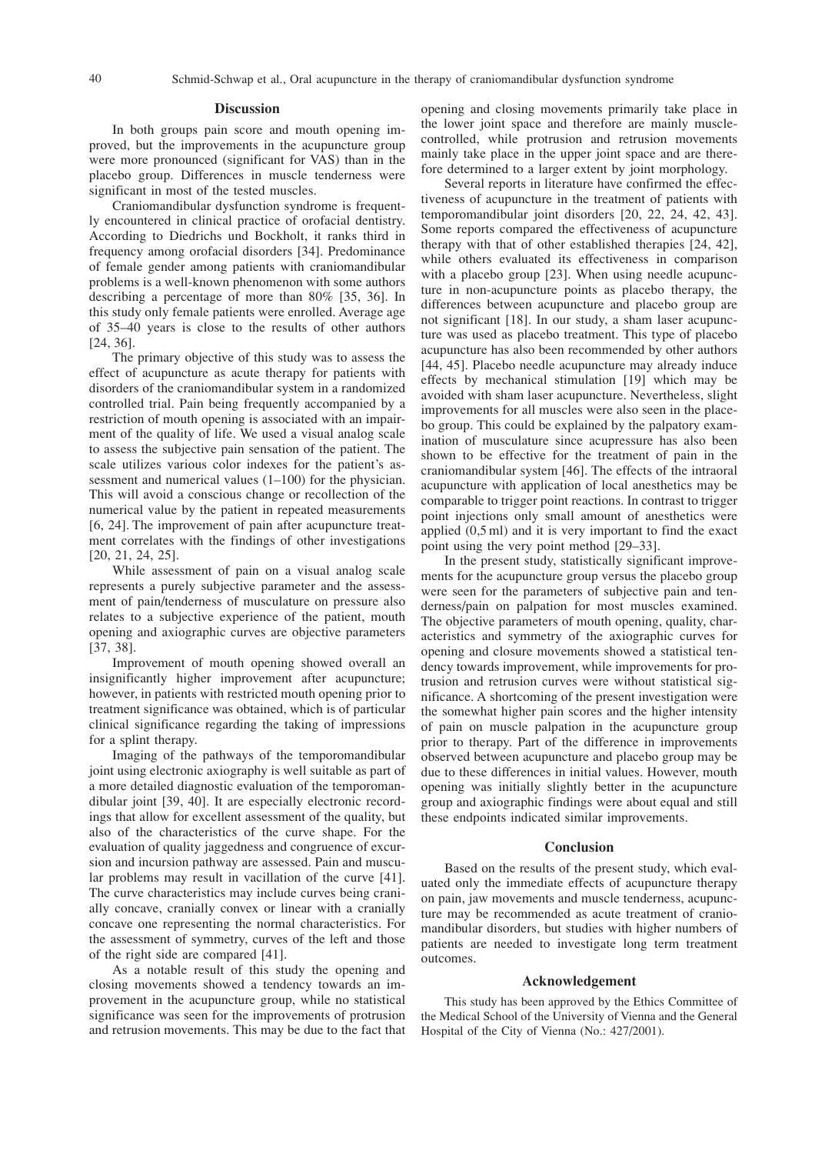# **Discussion**

In both groups pain score and mouth opening improved, but the improvements in the acupuncture group were more pronounced (significant for VAS) than in the placebo group. Differences in muscle tenderness were significant in most of the tested muscles.

Craniomandibular dysfunction syndrome is frequently encountered in clinical practice of orofacial dentistry. According to Diedrichs und Bockholt, it ranks third in frequency among orofacial disorders [34]. Predominance of female gender among patients with craniomandibular problems is a well-known phenomenon with some authors describing a percentage of more than 80% [35, 36]. In this study only female patients were enrolled. Average age of 35–40 years is close to the results of other authors [24, 36].

The primary objective of this study was to assess the effect of acupuncture as acute therapy for patients with disorders of the craniomandibular system in a randomized controlled trial. Pain being frequently accompanied by a restriction of mouth opening is associated with an impairment of the quality of life. We used a visual analog scale to assess the subjective pain sensation of the patient. The scale utilizes various color indexes for the patient's assessment and numerical values (1–100) for the physician. This will avoid a conscious change or recollection of the numerical value by the patient in repeated measurements [6, 24]. The improvement of pain after acupuncture treatment correlates with the findings of other investigations [20, 21, 24, 25].

While assessment of pain on a visual analog scale represents a purely subjective parameter and the assessment of pain/tenderness of musculature on pressure also relates to a subjective experience of the patient, mouth opening and axiographic curves are objective parameters [37, 38].

Improvement of mouth opening showed overall an insignificantly higher improvement after acupuncture; however, in patients with restricted mouth opening prior to treatment significance was obtained, which is of particular clinical significance regarding the taking of impressions for a splint therapy.

Imaging of the pathways of the temporomandibular joint using electronic axiography is well suitable as part of a more detailed diagnostic evaluation of the temporomandibular joint [39, 40]. It are especially electronic recordings that allow for excellent assessment of the quality, but also of the characteristics of the curve shape. For the evaluation of quality jaggedness and congruence of excursion and incursion pathway are assessed. Pain and muscular problems may result in vacillation of the curve [41]. The curve characteristics may include curves being cranially concave, cranially convex or linear with a cranially concave one representing the normal characteristics. For the assessment of symmetry, curves of the left and those of the right side are compared [41].

As a notable result of this study the opening and closing movements showed a tendency towards an improvement in the acupuncture group, while no statistical significance was seen for the improvements of protrusion and retrusion movements. This may be due to the fact that opening and closing movements primarily take place in the lower joint space and therefore are mainly musclecontrolled, while protrusion and retrusion movements mainly take place in the upper joint space and are therefore determined to a larger extent by joint morphology.

Several reports in literature have confirmed the effectiveness of acupuncture in the treatment of patients with temporomandibular joint disorders [20, 22, 24, 42, 43]. Some reports compared the effectiveness of acupuncture therapy with that of other established therapies [24, 42], while others evaluated its effectiveness in comparison with a placebo group [23]. When using needle acupuncture in non-acupuncture points as placebo therapy, the differences between acupuncture and placebo group are not significant [18]. In our study, a sham laser acupuncture was used as placebo treatment. This type of placebo acupuncture has also been recommended by other authors [44, 45]. Placebo needle acupuncture may already induce effects by mechanical stimulation [19] which may be avoided with sham laser acupuncture. Nevertheless, slight improvements for all muscles were also seen in the placebo group. This could be explained by the palpatory examination of musculature since acupressure has also been shown to be effective for the treatment of pain in the craniomandibular system [46]. The effects of the intraoral acupuncture with application of local anesthetics may be comparable to trigger point reactions. In contrast to trigger point injections only small amount of anesthetics were applied (0,5 ml) and it is very important to find the exact point using the very point method [29–33].

In the present study, statistically significant improvements for the acupuncture group versus the placebo group were seen for the parameters of subjective pain and tenderness/pain on palpation for most muscles examined. The objective parameters of mouth opening, quality, characteristics and symmetry of the axiographic curves for opening and closure movements showed a statistical tendency towards improvement, while improvements for protrusion and retrusion curves were without statistical significance. A shortcoming of the present investigation were the somewhat higher pain scores and the higher intensity of pain on muscle palpation in the acupuncture group prior to therapy. Part of the difference in improvements observed between acupuncture and placebo group may be due to these differences in initial values. However, mouth opening was initially slightly better in the acupuncture group and axiographic findings were about equal and still these endpoints indicated similar improvements.

# **Conclusion**

Based on the results of the present study, which evaluated only the immediate effects of acupuncture therapy on pain, jaw movements and muscle tenderness, acupuncture may be recommended as acute treatment of craniomandibular disorders, but studies with higher numbers of patients are needed to investigate long term treatment outcomes.

# **Acknowledgement**

This study has been approved by the Ethics Committee of the Medical School of the University of Vienna and the General Hospital of the City of Vienna (No.: 427/2001).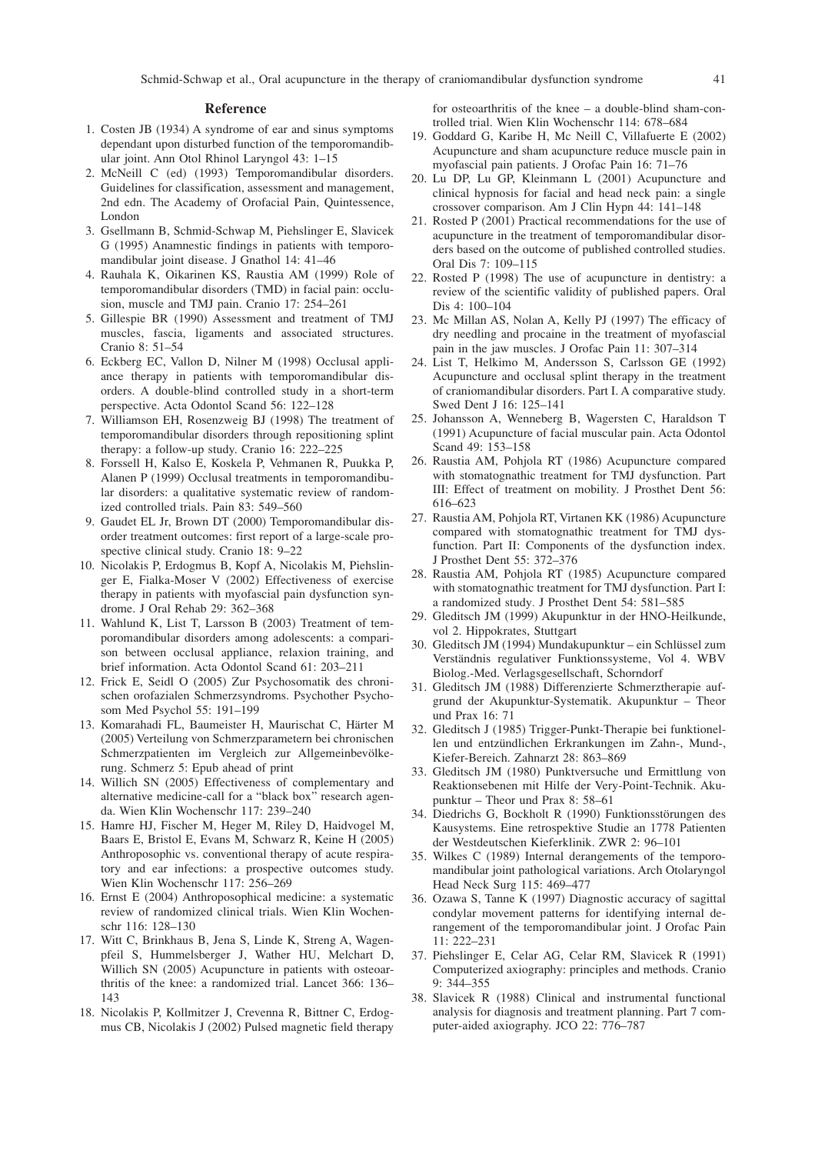# **Reference**

- 1. Costen JB (1934) A syndrome of ear and sinus symptoms dependant upon disturbed function of the temporomandibular joint. Ann Otol Rhinol Laryngol 43: 1–15
- 2. McNeill C (ed) (1993) Temporomandibular disorders. Guidelines for classification, assessment and management, 2nd edn. The Academy of Orofacial Pain, Quintessence, London
- 3. Gsellmann B, Schmid-Schwap M, Piehslinger E, Slavicek G (1995) Anamnestic findings in patients with temporomandibular joint disease. J Gnathol 14: 41–46
- 4. Rauhala K, Oikarinen KS, Raustia AM (1999) Role of temporomandibular disorders (TMD) in facial pain: occlusion, muscle and TMJ pain. Cranio 17: 254–261
- 5. Gillespie BR (1990) Assessment and treatment of TMJ muscles, fascia, ligaments and associated structures. Cranio 8: 51–54
- 6. Eckberg EC, Vallon D, Nilner M (1998) Occlusal appliance therapy in patients with temporomandibular disorders. A double-blind controlled study in a short-term perspective. Acta Odontol Scand 56: 122–128
- 7. Williamson EH, Rosenzweig BJ (1998) The treatment of temporomandibular disorders through repositioning splint therapy: a follow-up study. Cranio 16: 222–225
- 8. Forssell H, Kalso E, Koskela P, Vehmanen R, Puukka P, Alanen P (1999) Occlusal treatments in temporomandibular disorders: a qualitative systematic review of randomized controlled trials. Pain 83: 549–560
- 9. Gaudet EL Jr, Brown DT (2000) Temporomandibular disorder treatment outcomes: first report of a large-scale prospective clinical study. Cranio 18: 9–22
- 10. Nicolakis P, Erdogmus B, Kopf A, Nicolakis M, Piehslinger E, Fialka-Moser V (2002) Effectiveness of exercise therapy in patients with myofascial pain dysfunction syndrome. J Oral Rehab 29: 362–368
- 11. Wahlund K, List T, Larsson B (2003) Treatment of temporomandibular disorders among adolescents: a comparison between occlusal appliance, relaxion training, and brief information. Acta Odontol Scand 61: 203–211
- 12. Frick E, Seidl O (2005) Zur Psychosomatik des chronischen orofazialen Schmerzsyndroms. Psychother Psychosom Med Psychol 55: 191–199
- 13. Komarahadi FL, Baumeister H, Maurischat C, Härter M (2005) Verteilung von Schmerzparametern bei chronischen Schmerzpatienten im Vergleich zur Allgemeinbevölkerung. Schmerz 5: Epub ahead of print
- 14. Willich SN (2005) Effectiveness of complementary and alternative medicine-call for a "black box" research agenda. Wien Klin Wochenschr 117: 239–240
- 15. Hamre HJ, Fischer M, Heger M, Riley D, Haidvogel M, Baars E, Bristol E, Evans M, Schwarz R, Keine H (2005) Anthroposophic vs. conventional therapy of acute respiratory and ear infections: a prospective outcomes study. Wien Klin Wochenschr 117: 256–269
- 16. Ernst E (2004) Anthroposophical medicine: a systematic review of randomized clinical trials. Wien Klin Wochenschr 116: 128–130
- 17. Witt C, Brinkhaus B, Jena S, Linde K, Streng A, Wagenpfeil S, Hummelsberger J, Wather HU, Melchart D, Willich SN (2005) Acupuncture in patients with osteoarthritis of the knee: a randomized trial. Lancet 366: 136– 143
- 18. Nicolakis P, Kollmitzer J, Crevenna R, Bittner C, Erdogmus CB, Nicolakis J (2002) Pulsed magnetic field therapy

for osteoarthritis of the knee – a double-blind sham-controlled trial. Wien Klin Wochenschr 114: 678–684

- 19. Goddard G, Karibe H, Mc Neill C, Villafuerte E (2002) Acupuncture and sham acupuncture reduce muscle pain in myofascial pain patients. J Orofac Pain 16: 71–76
- 20. Lu DP, Lu GP, Kleinmann L (2001) Acupuncture and clinical hypnosis for facial and head neck pain: a single crossover comparison. Am J Clin Hypn 44: 141–148
- 21. Rosted P (2001) Practical recommendations for the use of acupuncture in the treatment of temporomandibular disorders based on the outcome of published controlled studies. Oral Dis 7: 109–115
- 22. Rosted P (1998) The use of acupuncture in dentistry: a review of the scientific validity of published papers. Oral Dis 4: 100–104
- 23. Mc Millan AS, Nolan A, Kelly PJ (1997) The efficacy of dry needling and procaine in the treatment of myofascial pain in the jaw muscles. J Orofac Pain 11: 307–314
- 24. List T, Helkimo M, Andersson S, Carlsson GE (1992) Acupuncture and occlusal splint therapy in the treatment of craniomandibular disorders. Part I. A comparative study. Swed Dent J 16: 125–141
- 25. Johansson A, Wenneberg B, Wagersten C, Haraldson T (1991) Acupuncture of facial muscular pain. Acta Odontol Scand 49: 153–158
- 26. Raustia AM, Pohjola RT (1986) Acupuncture compared with stomatognathic treatment for TMJ dysfunction. Part III: Effect of treatment on mobility. J Prosthet Dent 56: 616–623
- 27. Raustia AM, Pohjola RT, Virtanen KK (1986) Acupuncture compared with stomatognathic treatment for TMJ dysfunction. Part II: Components of the dysfunction index. J Prosthet Dent 55: 372–376
- 28. Raustia AM, Pohjola RT (1985) Acupuncture compared with stomatognathic treatment for TMJ dysfunction. Part I: a randomized study*.* J Prosthet Dent 54: 581–585
- 29. Gleditsch JM (1999) Akupunktur in der HNO-Heilkunde, vol 2. Hippokrates, Stuttgart
- 30. Gleditsch JM (1994) Mundakupunktur ein Schlüssel zum Verständnis regulativer Funktionssysteme, Vol 4. WBV Biolog.-Med. Verlagsgesellschaft, Schorndorf
- 31. Gleditsch JM (1988) Differenzierte Schmerztherapie aufgrund der Akupunktur-Systematik. Akupunktur – Theor und Prax 16: 71
- 32. Gleditsch J (1985) Trigger-Punkt-Therapie bei funktionellen und entzündlichen Erkrankungen im Zahn-, Mund-, Kiefer-Bereich. Zahnarzt 28: 863–869
- 33. Gleditsch JM (1980) Punktversuche und Ermittlung von Reaktionsebenen mit Hilfe der Very-Point-Technik. Akupunktur – Theor und Prax 8: 58–61
- 34. Diedrichs G, Bockholt R (1990) Funktionsstörungen des Kausystems. Eine retrospektive Studie an 1778 Patienten der Westdeutschen Kieferklinik. ZWR 2: 96–101
- 35. Wilkes C (1989) Internal derangements of the temporomandibular joint pathological variations. Arch Otolaryngol Head Neck Surg 115: 469–477
- 36. Ozawa S, Tanne K (1997) Diagnostic accuracy of sagittal condylar movement patterns for identifying internal derangement of the temporomandibular joint. J Orofac Pain 11: 222–231
- 37. Piehslinger E, Celar AG, Celar RM, Slavicek R (1991) Computerized axiography: principles and methods. Cranio 9: 344–355
- 38. Slavicek R (1988) Clinical and instrumental functional analysis for diagnosis and treatment planning. Part 7 computer-aided axiography. JCO 22: 776–787